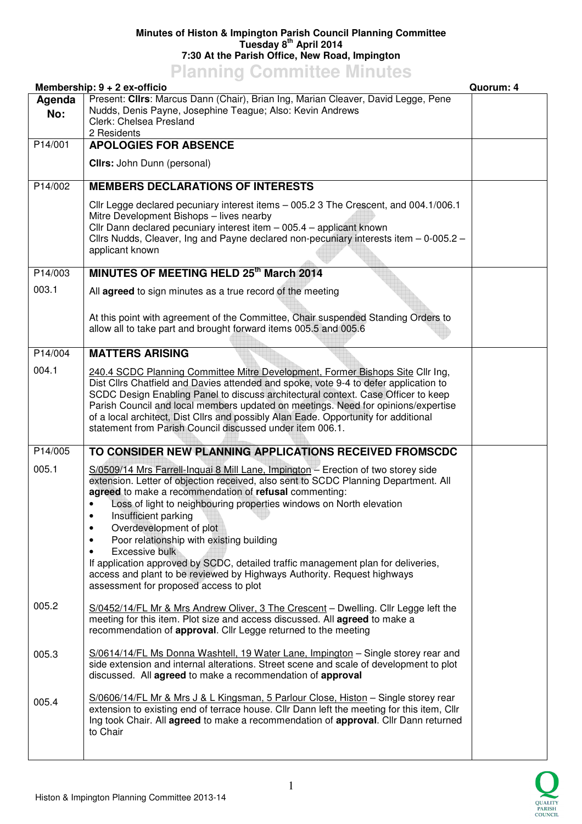## **Minutes of Histon & Impington Parish Council Planning Committee Tuesday 8th April 2014 7:30 At the Parish Office, New Road, Impington**

## **Planning Committee Minutes**

|               | Membership: 9 + 2 ex-officio                                                                                                                                                                                                                                                                                                                                                                                                                                                                                                                                                                                                                                | Quorum: 4 |
|---------------|-------------------------------------------------------------------------------------------------------------------------------------------------------------------------------------------------------------------------------------------------------------------------------------------------------------------------------------------------------------------------------------------------------------------------------------------------------------------------------------------------------------------------------------------------------------------------------------------------------------------------------------------------------------|-----------|
| Agenda<br>No: | Present: Clirs: Marcus Dann (Chair), Brian Ing, Marian Cleaver, David Legge, Pene<br>Nudds, Denis Payne, Josephine Teague; Also: Kevin Andrews                                                                                                                                                                                                                                                                                                                                                                                                                                                                                                              |           |
|               | Clerk: Chelsea Presland<br>2 Residents                                                                                                                                                                                                                                                                                                                                                                                                                                                                                                                                                                                                                      |           |
| P14/001       | <b>APOLOGIES FOR ABSENCE</b>                                                                                                                                                                                                                                                                                                                                                                                                                                                                                                                                                                                                                                |           |
|               | <b>Clirs:</b> John Dunn (personal)                                                                                                                                                                                                                                                                                                                                                                                                                                                                                                                                                                                                                          |           |
| P14/002       | <b>MEMBERS DECLARATIONS OF INTERESTS</b>                                                                                                                                                                                                                                                                                                                                                                                                                                                                                                                                                                                                                    |           |
|               | Cllr Legge declared pecuniary interest items - 005.2 3 The Crescent, and 004.1/006.1<br>Mitre Development Bishops - lives nearby<br>Cllr Dann declared pecuniary interest item - 005.4 - applicant known<br>Cllrs Nudds, Cleaver, Ing and Payne declared non-pecuniary interests item $-$ 0-005.2 $-$<br>applicant known                                                                                                                                                                                                                                                                                                                                    |           |
| P14/003       | MINUTES OF MEETING HELD 25th March 2014                                                                                                                                                                                                                                                                                                                                                                                                                                                                                                                                                                                                                     |           |
| 003.1         | All agreed to sign minutes as a true record of the meeting                                                                                                                                                                                                                                                                                                                                                                                                                                                                                                                                                                                                  |           |
|               | At this point with agreement of the Committee, Chair suspended Standing Orders to<br>allow all to take part and brought forward items 005.5 and 005.6                                                                                                                                                                                                                                                                                                                                                                                                                                                                                                       |           |
| P14/004       | <b>MATTERS ARISING</b>                                                                                                                                                                                                                                                                                                                                                                                                                                                                                                                                                                                                                                      |           |
| 004.1         | 240.4 SCDC Planning Committee Mitre Development, Former Bishops Site Cllr Ing,<br>Dist Cllrs Chatfield and Davies attended and spoke, vote 9-4 to defer application to<br>SCDC Design Enabling Panel to discuss architectural context. Case Officer to keep<br>Parish Council and local members updated on meetings. Need for opinions/expertise<br>of a local architect, Dist Cllrs and possibly Alan Eade. Opportunity for additional<br>statement from Parish Council discussed under item 006.1.                                                                                                                                                        |           |
| P14/005       | TO CONSIDER NEW PLANNING APPLICATIONS RECEIVED FROMSCDC                                                                                                                                                                                                                                                                                                                                                                                                                                                                                                                                                                                                     |           |
| 005.1         | S/0509/14 Mrs Farrell-Inquai 8 Mill Lane, Impington - Erection of two storey side<br>extension. Letter of objection received, also sent to SCDC Planning Department. All<br>agreed to make a recommendation of refusal commenting:<br>Loss of light to neighbouring properties windows on North elevation<br>Insufficient parking<br>Overdevelopment of plot<br>٠<br>Poor relationship with existing building<br>٠<br>Excessive bulk<br>$\bullet$<br>If application approved by SCDC, detailed traffic management plan for deliveries,<br>access and plant to be reviewed by Highways Authority. Request highways<br>assessment for proposed access to plot |           |
| 005.2         | S/0452/14/FL Mr & Mrs Andrew Oliver, 3 The Crescent - Dwelling. Cllr Legge left the<br>meeting for this item. Plot size and access discussed. All agreed to make a<br>recommendation of approval. Cllr Legge returned to the meeting                                                                                                                                                                                                                                                                                                                                                                                                                        |           |
| 005.3         | S/0614/14/FL Ms Donna Washtell, 19 Water Lane, Impington - Single storey rear and<br>side extension and internal alterations. Street scene and scale of development to plot<br>discussed. All agreed to make a recommendation of approval                                                                                                                                                                                                                                                                                                                                                                                                                   |           |
| 005.4         | S/0606/14/FL Mr & Mrs J & L Kingsman, 5 Parlour Close, Histon - Single storey rear<br>extension to existing end of terrace house. Cllr Dann left the meeting for this item, Cllr<br>Ing took Chair. All agreed to make a recommendation of approval. Cllr Dann returned<br>to Chair                                                                                                                                                                                                                                                                                                                                                                         |           |
|               |                                                                                                                                                                                                                                                                                                                                                                                                                                                                                                                                                                                                                                                             |           |

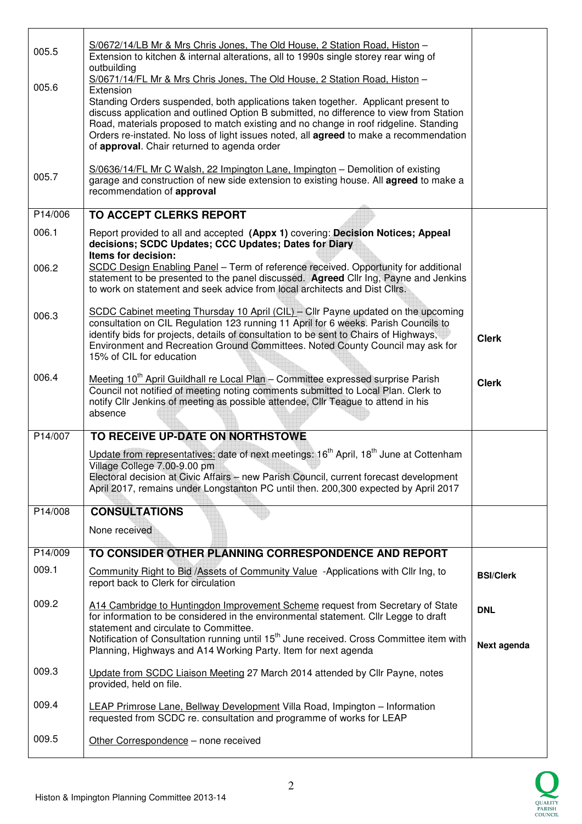| 005.5   | S/0672/14/LB Mr & Mrs Chris Jones, The Old House, 2 Station Road, Histon -<br>Extension to kitchen & internal alterations, all to 1990s single storey rear wing of<br>outbuilding                                                                                                                                                                                                                                                                                                                               |                           |
|---------|-----------------------------------------------------------------------------------------------------------------------------------------------------------------------------------------------------------------------------------------------------------------------------------------------------------------------------------------------------------------------------------------------------------------------------------------------------------------------------------------------------------------|---------------------------|
| 005.6   | S/0671/14/FL Mr & Mrs Chris Jones, The Old House, 2 Station Road, Histon -<br>Extension<br>Standing Orders suspended, both applications taken together. Applicant present to<br>discuss application and outlined Option B submitted, no difference to view from Station<br>Road, materials proposed to match existing and no change in roof ridgeline. Standing<br>Orders re-instated. No loss of light issues noted, all <b>agreed</b> to make a recommendation<br>of approval. Chair returned to agenda order |                           |
| 005.7   | S/0636/14/FL Mr C Walsh, 22 Impington Lane, Impington - Demolition of existing<br>garage and construction of new side extension to existing house. All agreed to make a<br>recommendation of approval                                                                                                                                                                                                                                                                                                           |                           |
| P14/006 | <b>TO ACCEPT CLERKS REPORT</b>                                                                                                                                                                                                                                                                                                                                                                                                                                                                                  |                           |
| 006.1   | Report provided to all and accepted (Appx 1) covering: Decision Notices; Appeal<br>decisions; SCDC Updates; CCC Updates; Dates for Diary<br>Items for decision:                                                                                                                                                                                                                                                                                                                                                 |                           |
| 006.2   | SCDC Design Enabling Panel - Term of reference received. Opportunity for additional<br>statement to be presented to the panel discussed. Agreed Cllr Ing, Payne and Jenkins<br>to work on statement and seek advice from local architects and Dist Cllrs.                                                                                                                                                                                                                                                       |                           |
| 006.3   | SCDC Cabinet meeting Thursday 10 April (CIL) - Cllr Payne updated on the upcoming<br>consultation on CIL Regulation 123 running 11 April for 6 weeks. Parish Councils to<br>identify bids for projects, details of consultation to be sent to Chairs of Highways,<br>Environment and Recreation Ground Committees. Noted County Council may ask for<br>15% of CIL for education                                                                                                                                 | <b>Clerk</b>              |
| 006.4   | Meeting 10 <sup>th</sup> April Guildhall re Local Plan - Committee expressed surprise Parish<br>Council not notified of meeting noting comments submitted to Local Plan. Clerk to<br>notify CIIr Jenkins of meeting as possible attendee, CIIr Teague to attend in his<br>absence                                                                                                                                                                                                                               | <b>Clerk</b>              |
| P14/007 | TO RECEIVE UP-DATE ON NORTHSTOWE                                                                                                                                                                                                                                                                                                                                                                                                                                                                                |                           |
|         | Update from representatives: date of next meetings: 16 <sup>th</sup> April, 18 <sup>th</sup> June at Cottenham<br>Village College 7.00-9.00 pm<br>Electoral decision at Civic Affairs - new Parish Council, current forecast development<br>April 2017, remains under Longstanton PC until then. 200,300 expected by April 2017                                                                                                                                                                                 |                           |
| P14/008 | <b>CONSULTATIONS</b>                                                                                                                                                                                                                                                                                                                                                                                                                                                                                            |                           |
|         | None received                                                                                                                                                                                                                                                                                                                                                                                                                                                                                                   |                           |
| P14/009 | TO CONSIDER OTHER PLANNING CORRESPONDENCE AND REPORT                                                                                                                                                                                                                                                                                                                                                                                                                                                            |                           |
| 009.1   | Community Right to Bid / Assets of Community Value - Applications with Cllr Ing, to<br>report back to Clerk for circulation                                                                                                                                                                                                                                                                                                                                                                                     | <b>BSI/Clerk</b>          |
| 009.2   | A14 Cambridge to Huntingdon Improvement Scheme request from Secretary of State<br>for information to be considered in the environmental statement. Cllr Legge to draft<br>statement and circulate to Committee.<br>Notification of Consultation running until 15 <sup>th</sup> June received. Cross Committee item with<br>Planning, Highways and A14 Working Party. Item for next agenda                                                                                                                       | <b>DNL</b><br>Next agenda |
| 009.3   | Update from SCDC Liaison Meeting 27 March 2014 attended by Cllr Payne, notes<br>provided, held on file.                                                                                                                                                                                                                                                                                                                                                                                                         |                           |
| 009.4   | LEAP Primrose Lane, Bellway Development Villa Road, Impington - Information<br>requested from SCDC re. consultation and programme of works for LEAP                                                                                                                                                                                                                                                                                                                                                             |                           |
| 009.5   | Other Correspondence - none received                                                                                                                                                                                                                                                                                                                                                                                                                                                                            |                           |